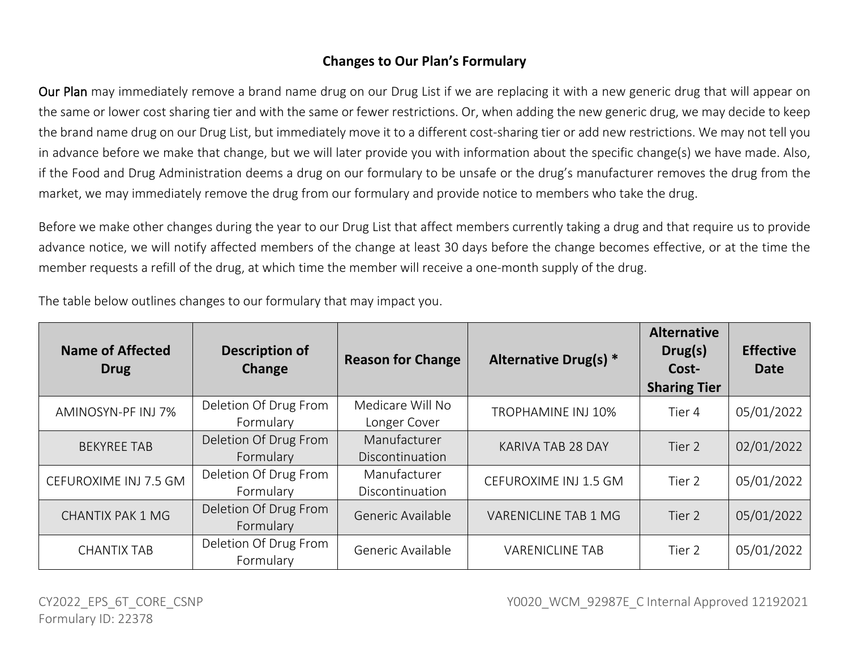## **Changes to Our Plan's Formulary**

Our Plan may immediately remove a brand name drug on our Drug List if we are replacing it with a new generic drug that will appear on the same or lower cost sharing tier and with the same or fewer restrictions. Or, when adding the new generic drug, we may decide to keep the brand name drug on our Drug List, but immediately move it to a different cost-sharing tier or add new restrictions. We may not tell you in advance before we make that change, but we will later provide you with information about the specific change(s) we have made. Also, if the Food and Drug Administration deems a drug on our formulary to be unsafe or the drug's manufacturer removes the drug from the market, we may immediately remove the drug from our formulary and provide notice to members who take the drug.

Before we make other changes during the year to our Drug List that affect members currently taking a drug and that require us to provide advance notice, we will notify affected members of the change at least 30 days before the change becomes effective, or at the time the member requests a refill of the drug, at which time the member will receive a one-month supply of the drug.

The table below outlines changes to our formulary that may impact you.

| <b>Name of Affected</b><br><b>Drug</b> | <b>Description of</b><br>Change    | <b>Reason for Change</b>         | Alternative Drug(s) *  | <b>Alternative</b><br>Drug(s)<br>Cost-<br><b>Sharing Tier</b> | <b>Effective</b><br><b>Date</b> |
|----------------------------------------|------------------------------------|----------------------------------|------------------------|---------------------------------------------------------------|---------------------------------|
| AMINOSYN-PF INJ 7%                     | Deletion Of Drug From<br>Formulary | Medicare Will No<br>Longer Cover | TROPHAMINE INJ 10%     | Tier 4                                                        | 05/01/2022                      |
| <b>BEKYREE TAB</b>                     | Deletion Of Drug From<br>Formulary | Manufacturer<br>Discontinuation  | KARIVA TAB 28 DAY      | Tier 2                                                        | 02/01/2022                      |
| CEFUROXIME INJ 7.5 GM                  | Deletion Of Drug From<br>Formulary | Manufacturer<br>Discontinuation  | CEFUROXIME INJ 1.5 GM  | Tier 2                                                        | 05/01/2022                      |
| <b>CHANTIX PAK 1 MG</b>                | Deletion Of Drug From<br>Formulary | Generic Available                | VARENICLINE TAB 1 MG   | Tier 2                                                        | 05/01/2022                      |
| <b>CHANTIX TAB</b>                     | Deletion Of Drug From<br>Formulary | Generic Available                | <b>VARENICLINE TAB</b> | Tier 2                                                        | 05/01/2022                      |

CY2022\_EPS\_6T\_CORE\_CSNP TERRORE CORECSNP TERRORECT TERRORECT TERRORECT VOO20\_WCM\_92987E\_C Internal Approved 12192021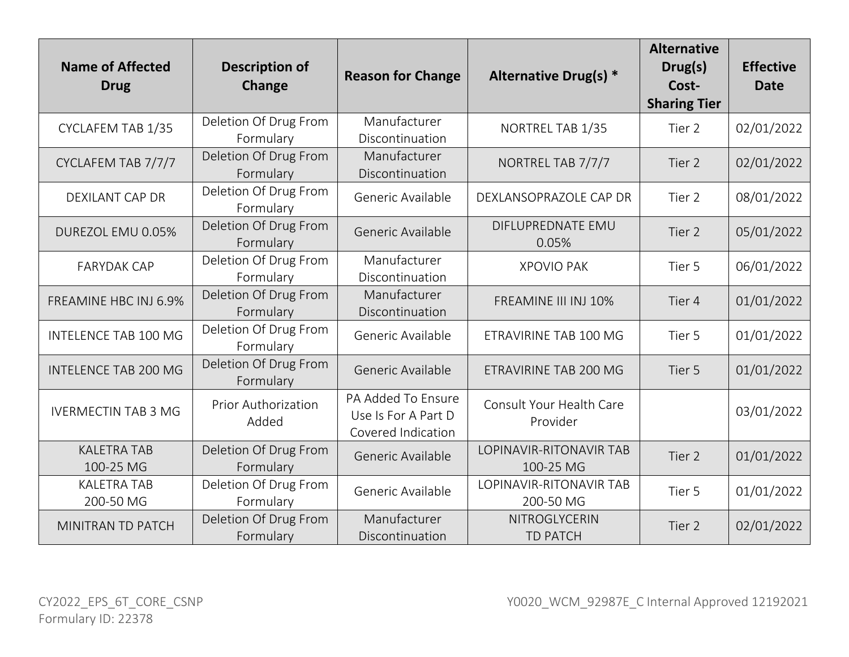| <b>Name of Affected</b><br><b>Drug</b> | <b>Description of</b><br><b>Change</b> | <b>Reason for Change</b>                                        | Alternative Drug(s) *                | <b>Alternative</b><br>Drug(s)<br>Cost-<br><b>Sharing Tier</b> | <b>Effective</b><br><b>Date</b> |
|----------------------------------------|----------------------------------------|-----------------------------------------------------------------|--------------------------------------|---------------------------------------------------------------|---------------------------------|
| CYCLAFEM TAB 1/35                      | Deletion Of Drug From<br>Formulary     | Manufacturer<br>Discontinuation                                 | NORTREL TAB 1/35                     | Tier 2                                                        | 02/01/2022                      |
| CYCLAFEM TAB 7/7/7                     | Deletion Of Drug From<br>Formulary     | Manufacturer<br>Discontinuation                                 | NORTREL TAB 7/7/7                    | Tier 2                                                        | 02/01/2022                      |
| <b>DEXILANT CAP DR</b>                 | Deletion Of Drug From<br>Formulary     | Generic Available                                               | DEXLANSOPRAZOLE CAP DR               | Tier 2                                                        | 08/01/2022                      |
| DUREZOL EMU 0.05%                      | Deletion Of Drug From<br>Formulary     | Generic Available                                               | DIFLUPREDNATE EMU<br>0.05%           | Tier 2                                                        | 05/01/2022                      |
| <b>FARYDAK CAP</b>                     | Deletion Of Drug From<br>Formulary     | Manufacturer<br>Discontinuation                                 | <b>XPOVIO PAK</b>                    | Tier 5                                                        | 06/01/2022                      |
| FREAMINE HBC INJ 6.9%                  | Deletion Of Drug From<br>Formulary     | Manufacturer<br>Discontinuation                                 | FREAMINE III INJ 10%                 | Tier 4                                                        | 01/01/2022                      |
| <b>INTELENCE TAB 100 MG</b>            | Deletion Of Drug From<br>Formulary     | Generic Available                                               | ETRAVIRINE TAB 100 MG                | Tier 5                                                        | 01/01/2022                      |
| <b>INTELENCE TAB 200 MG</b>            | Deletion Of Drug From<br>Formulary     | Generic Available                                               | ETRAVIRINE TAB 200 MG                | Tier 5                                                        | 01/01/2022                      |
| <b>IVERMECTIN TAB 3 MG</b>             | Prior Authorization<br>Added           | PA Added To Ensure<br>Use Is For A Part D<br>Covered Indication | Consult Your Health Care<br>Provider |                                                               | 03/01/2022                      |
| <b>KALETRA TAB</b><br>100-25 MG        | Deletion Of Drug From<br>Formulary     | Generic Available                                               | LOPINAVIR-RITONAVIR TAB<br>100-25 MG | Tier 2                                                        | 01/01/2022                      |
| <b>KALETRA TAB</b><br>200-50 MG        | Deletion Of Drug From<br>Formulary     | Generic Available                                               | LOPINAVIR-RITONAVIR TAB<br>200-50 MG | Tier 5                                                        | 01/01/2022                      |
| MINITRAN TD PATCH                      | Deletion Of Drug From<br>Formulary     | Manufacturer<br>Discontinuation                                 | NITROGLYCERIN<br><b>TD PATCH</b>     | Tier 2                                                        | 02/01/2022                      |